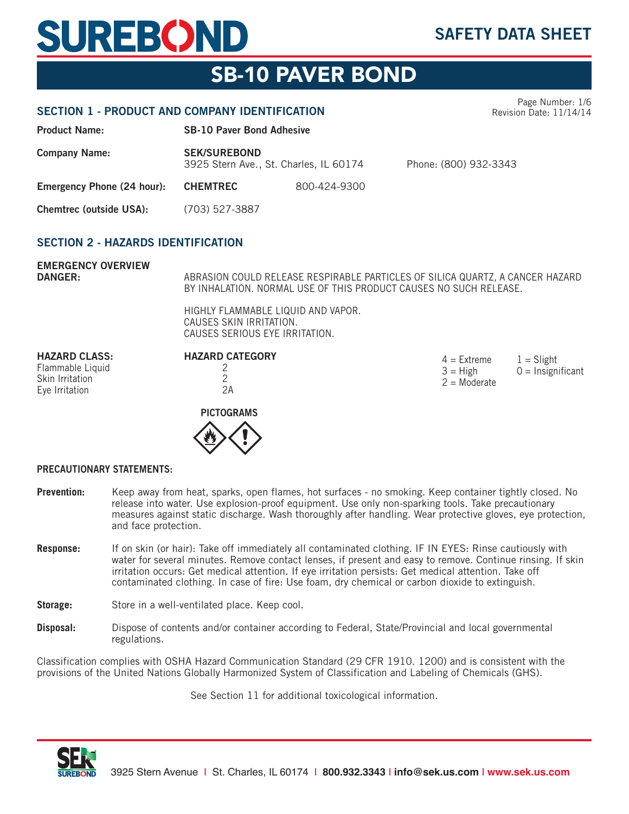

# **SB-10 PAVER BOND**

#### **SECTION 1 - PRODUCT AND COMPANY IDENTIFICATION**

Page Number: 1/6 Revision Date: 11/14/14

| <b>Product Name:</b>           | <b>SB-10 Paver Bond Adhesive</b>                              |              |                       |
|--------------------------------|---------------------------------------------------------------|--------------|-----------------------|
| Company Name:                  | <b>SEK/SUREBOND</b><br>3925 Stern Ave., St. Charles, IL 60174 |              | Phone: (800) 932-3343 |
| Emergency Phone (24 hour):     | <b>CHEMTREC</b>                                               | 800-424-9300 |                       |
| <b>Chemtrec (outside USA):</b> | (703) 527-3887                                                |              |                       |

### **SECTION 2 - HAZARDS IDENTIFICATION**

**EMERGENCY OVERVIEW**

**DANGER:** ABRASION COULD RELEASE RESPIRABLE PARTICLES OF SILICA QUARTZ, A CANCER HAZARD BY INHALATION. NORMAL USE OF THIS PRODUCT CAUSES NO SUCH RELEASE.

HIGHLY FLAMMABLE LIQUID AND VAPOR. CAUSES SKIN IRRITATION. CAUSES SERIOUS EYE IRRITATION.

Flammable Liquid 2 Skin Irritation 1988 (1988)<br>Eve Irritation 1988 (1988) 28 Eye Irritation

### **HAZARD CLASS: HAZARD CATEGORY**





#### **PRECAUTIONARY STATEMENTS:**

- **Prevention:** Keep away from heat, sparks, open flames, hot surfaces no smoking. Keep container tightly closed. No release into water. Use explosion-proof equipment. Use only non-sparking tools. Take precautionary measures against static discharge. Wash thoroughly after handling. Wear protective gloves, eye protection, and face protection.
- **Response:** If on skin (or hair): Take off immediately all contaminated clothing. IF IN EYES: Rinse cautiously with water for several minutes. Remove contact lenses, if present and easy to remove. Continue rinsing. If skin irritation occurs: Get medical attention. If eye irritation persists: Get medical attention. Take off contaminated clothing. In case of fire: Use foam, dry chemical or carbon dioxide to extinguish.

Storage: Store in a well-ventilated place. Keep cool.

**Disposal:** Dispose of contents and/or container according to Federal, State/Provincial and local governmental regulations.

Classification complies with OSHA Hazard Communication Standard (29 CFR 1910. 1200) and is consistent with the provisions of the United Nations Globally Harmonized System of Classification and Labeling of Chemicals (GHS).

See Section 11 for additional toxicological information.

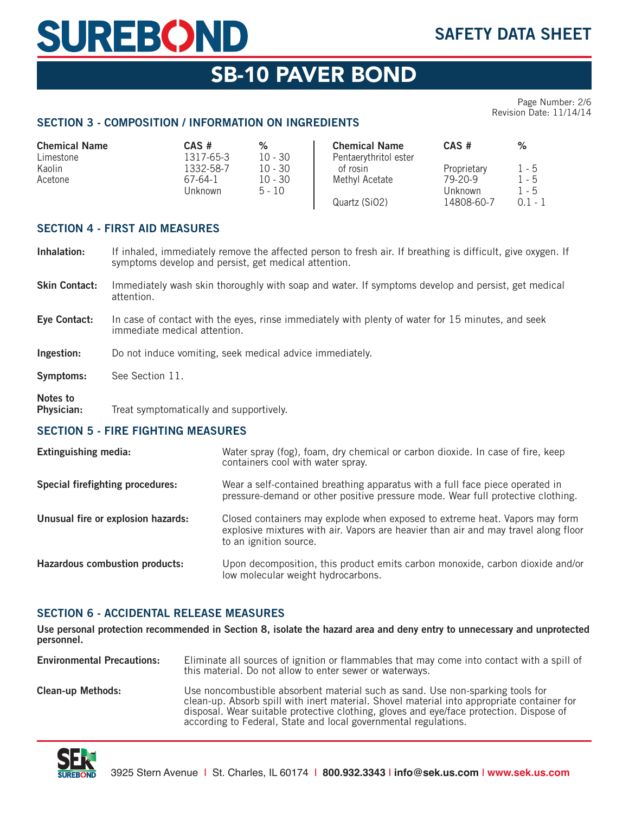# SUREBOND CLEANERS SE AD

## **SAFETY DATA SHEET**

# **SB-10 PAVER BOND**

Page Number: 2/6 Revision Date: 11/14/14

### **SECTION 3 - COMPOSITION / INFORMATION ON INGREDIENTS**

| <b>Chemical Name</b> | $CAS$ #   | %         | <b>Chemical Name</b>  | $CAS$ #     | %       |
|----------------------|-----------|-----------|-----------------------|-------------|---------|
| Limestone            | 1317-65-3 | $10 - 30$ | Pentaerythritol ester |             |         |
| Kaolin               | 1332-58-7 | $10 - 30$ | of rosin              | Proprietary | $1 - 5$ |
| Acetone              | 67-64-1   | $10 - 30$ | Methyl Acetate        | $79-20-9$   | $1 - 5$ |
|                      | Unknown   | $5 - 10$  |                       | Unknown     | $1 - 5$ |
|                      |           |           | Quartz (SiO2)         | 14808-60-7  | 0 1 - 1 |

### **SECTION 4 - FIRST AID MEASURES**

**Inhalation:** If inhaled, immediately remove the affected person to fresh air. If breathing is difficult, give oxygen. If symptoms develop and persist, get medical attention.

- **Skin Contact:** Immediately wash skin thoroughly with soap and water. If symptoms develop and persist, get medical attention.
- **Eye Contact:** In case of contact with the eyes, rinse immediately with plenty of water for 15 minutes, and seek immediate medical attention.
- **Ingestion:** Do not induce vomiting, seek medical advice immediately.
- **Symptoms:** See Section 11.

**Notes to**

**Physician:** Treat symptomatically and supportively.

#### **SECTION 5 - FIRE FIGHTING MEASURES**

| <b>Extinguishing media:</b>        | Water spray (fog), foam, dry chemical or carbon dioxide. In case of fire, keep<br>containers cool with water spray.                                                                          |
|------------------------------------|----------------------------------------------------------------------------------------------------------------------------------------------------------------------------------------------|
| Special firefighting procedures:   | Wear a self-contained breathing apparatus with a full face piece operated in<br>pressure-demand or other positive pressure mode. Wear full protective clothing.                              |
| Unusual fire or explosion hazards: | Closed containers may explode when exposed to extreme heat. Vapors may form<br>explosive mixtures with air. Vapors are heavier than air and may travel along floor<br>to an ignition source. |
| Hazardous combustion products:     | Upon decomposition, this product emits carbon monoxide, carbon dioxide and/or<br>low molecular weight hydrocarbons.                                                                          |

### **SECTION 6 - ACCIDENTAL RELEASE MEASURES**

Use personal protection recommended in Section 8, isolate the hazard area and deny entry to unnecessary and unprotected **personnel.**

**Environmental Precautions:** Eliminate all sources of ignition or flammables that may come into contact with a spill of this material. Do not allow to enter sewer or waterways. **Clean-up Methods:** Use noncombustible absorbent material such as sand. Use non-sparking tools for clean-up. Absorb spill with inert material. Shovel material into appropriate container for disposal. Wear suitable protective clothing, gloves and eye/face protection. Dispose of

according to Federal, State and local governmental regulations.

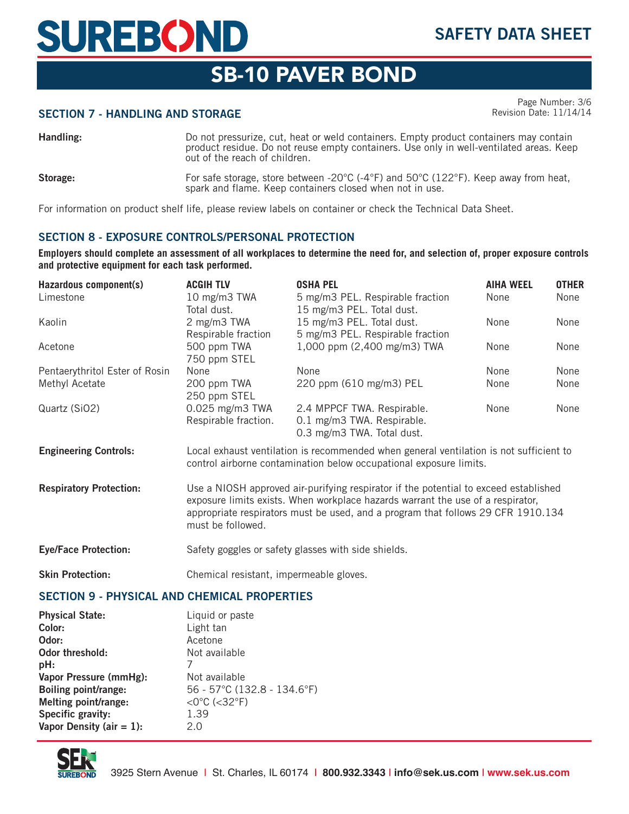

# **SB-10 PAVER BOND**

#### **SECTION 7 - HANDLING AND STORAGE**

Page Number: 3/6 Revision Date: 11/14/14

**Handling:** Do not pressurize, cut, heat or weld containers. Empty product containers may contain product residue. Do not reuse empty containers. Use only in well-ventilated areas. Keep out of the reach of children. **Storage:** For safe storage, store between -20°C (-4°F) and 50°C (122°F). Keep away from heat, spark and flame. Keep containers closed when not in use.

For information on product shelf life, please review labels on container or check the Technical Data Sheet.

### **SECTION 8 - EXPOSURE CONTROLS/PERSONAL PROTECTION**

Employers should complete an assessment of all workplaces to determine the need for, and selection of, proper exposure controls **and protective equipment for each task performed.**

| Hazardous component(s)         | <b>ACGIH TLV</b>                                                                                                                                                                                                                                            | <b>OSHA PEL</b>                                                                                                                                              | <b>AIHA WEEL</b> | <b>OTHER</b> |
|--------------------------------|-------------------------------------------------------------------------------------------------------------------------------------------------------------------------------------------------------------------------------------------------------------|--------------------------------------------------------------------------------------------------------------------------------------------------------------|------------------|--------------|
| Limestone                      | 10 mg/m3 TWA                                                                                                                                                                                                                                                | 5 mg/m3 PEL. Respirable fraction                                                                                                                             | None             | None         |
|                                | Total dust.                                                                                                                                                                                                                                                 | 15 mg/m3 PEL. Total dust.                                                                                                                                    |                  |              |
| Kaolin                         | 2 mg/m3 TWA                                                                                                                                                                                                                                                 | 15 mg/m3 PEL. Total dust.                                                                                                                                    | None             | None         |
|                                | Respirable fraction                                                                                                                                                                                                                                         | 5 mg/m3 PEL. Respirable fraction                                                                                                                             |                  |              |
| Acetone                        | 500 ppm TWA                                                                                                                                                                                                                                                 | 1,000 ppm (2,400 mg/m3) TWA                                                                                                                                  | None             | None         |
|                                | 750 ppm STEL                                                                                                                                                                                                                                                |                                                                                                                                                              |                  |              |
| Pentaerythritol Ester of Rosin | None                                                                                                                                                                                                                                                        | None                                                                                                                                                         | None             | None         |
| Methyl Acetate                 | 200 ppm TWA                                                                                                                                                                                                                                                 | 220 ppm (610 mg/m3) PEL                                                                                                                                      | None             | None         |
|                                | 250 ppm STEL                                                                                                                                                                                                                                                |                                                                                                                                                              |                  |              |
| Quartz (SiO2)                  | 0.025 mg/m3 TWA                                                                                                                                                                                                                                             | 2.4 MPPCF TWA. Respirable.                                                                                                                                   | None             | None         |
|                                | Respirable fraction.                                                                                                                                                                                                                                        | 0.1 mg/m3 TWA. Respirable.                                                                                                                                   |                  |              |
|                                |                                                                                                                                                                                                                                                             | 0.3 mg/m3 TWA. Total dust.                                                                                                                                   |                  |              |
| <b>Engineering Controls:</b>   |                                                                                                                                                                                                                                                             | Local exhaust ventilation is recommended when general ventilation is not sufficient to<br>control airborne contamination below occupational exposure limits. |                  |              |
|                                |                                                                                                                                                                                                                                                             |                                                                                                                                                              |                  |              |
| <b>Respiratory Protection:</b> | Use a NIOSH approved air-purifying respirator if the potential to exceed established<br>exposure limits exists. When workplace hazards warrant the use of a respirator,<br>appropriate respirators must be used, and a program that follows 29 CFR 1910.134 |                                                                                                                                                              |                  |              |

**Eye/Face Protection:** Safety goggles or safety glasses with side shields.

must be followed.

**Skin Protection:** Chemical resistant, impermeable gloves.

#### **SECTION 9 - PHYSICAL AND CHEMICAL PROPERTIES**

| <b>Physical State:</b>      | Liquid or paste                    |
|-----------------------------|------------------------------------|
| Color:                      | Light tan                          |
| Odor:                       | Acetone                            |
| <b>Odor threshold:</b>      | Not available                      |
| pH:                         |                                    |
| Vapor Pressure (mmHg):      | Not available                      |
| Boiling point/range:        | 56 - 57°C (132.8 - 134.6°F)        |
| Melting point/range:        | < $0^{\circ}$ C (< $32^{\circ}$ F) |
| Specific gravity:           | 1.39                               |
| Vapor Density (air = $1$ ): | 2.0                                |

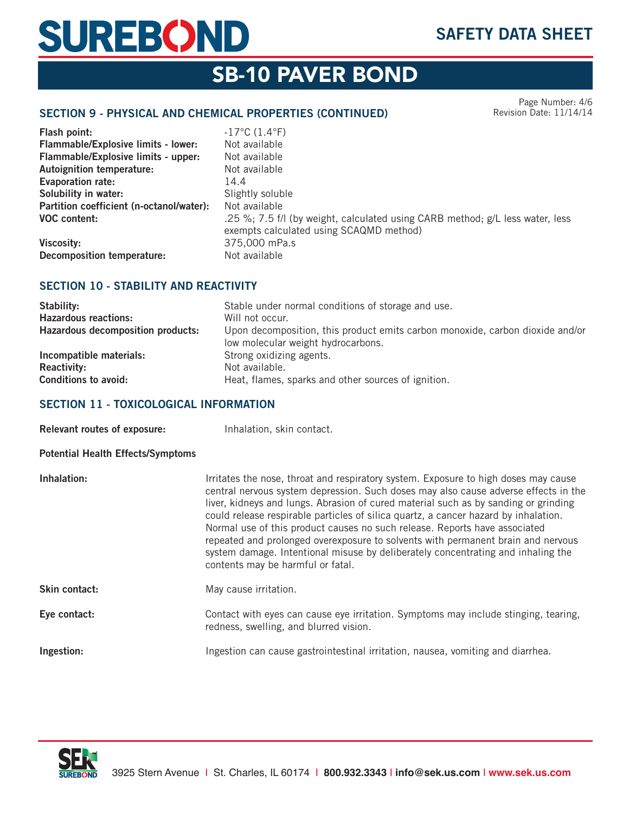# **SUREBOND** CLEANERS SE AD

## **SAFETY DATA SHEET**

# **SB-10 PAVER BOND**

### **SECTION 9 - PHYSICAL AND CHEMICAL PROPERTIES (CONTINUED)**

Page Number: 4/6 Revision Date: 11/14/14

| Flash point:                               | $-17^{\circ}$ C (1.4 $^{\circ}$ F)                                            |
|--------------------------------------------|-------------------------------------------------------------------------------|
| <b>Flammable/Explosive limits - lower:</b> | Not available                                                                 |
| Flammable/Explosive limits - upper:        | Not available                                                                 |
| <b>Autoignition temperature:</b>           | Not available                                                                 |
| <b>Evaporation rate:</b>                   | 14.4                                                                          |
| Solubility in water:                       | Slightly soluble                                                              |
| Partition coefficient (n-octanol/water):   | Not available                                                                 |
| <b>VOC content:</b>                        | .25 %; 7.5 f/l (by weight, calculated using CARB method; g/L less water, less |
|                                            | exempts calculated using SCAQMD method)                                       |
| Viscosity:                                 | 375,000 mPa.s                                                                 |
| Decomposition temperature:                 | Not available                                                                 |

### **SECTION 10 - STABILITY AND REACTIVITY**

| Stability:                        | Stable under normal conditions of storage and use.                                                                  |
|-----------------------------------|---------------------------------------------------------------------------------------------------------------------|
| <b>Hazardous reactions:</b>       | Will not occur.                                                                                                     |
| Hazardous decomposition products: | Upon decomposition, this product emits carbon monoxide, carbon dioxide and/or<br>low molecular weight hydrocarbons. |
| Incompatible materials:           | Strong oxidizing agents.                                                                                            |
| <b>Reactivity:</b>                | Not available.                                                                                                      |
| <b>Conditions to avoid:</b>       | Heat, flames, sparks and other sources of ignition.                                                                 |

### **SECTION 11 - TOXICOLOGICAL INFORMATION**

| <b>Relevant routes of exposure:</b> | Inhalation, skin contact. |
|-------------------------------------|---------------------------|
|                                     |                           |

#### **Potential Health Effects/Symptoms**

| Inhalation:   | Irritates the nose, throat and respiratory system. Exposure to high doses may cause<br>central nervous system depression. Such doses may also cause adverse effects in the<br>liver, kidneys and lungs. Abrasion of cured material such as by sanding or grinding<br>could release respirable particles of silica quartz, a cancer hazard by inhalation.<br>Normal use of this product causes no such release. Reports have associated<br>repeated and prolonged overexposure to solvents with permanent brain and nervous<br>system damage. Intentional misuse by deliberately concentrating and inhaling the<br>contents may be harmful or fatal. |
|---------------|-----------------------------------------------------------------------------------------------------------------------------------------------------------------------------------------------------------------------------------------------------------------------------------------------------------------------------------------------------------------------------------------------------------------------------------------------------------------------------------------------------------------------------------------------------------------------------------------------------------------------------------------------------|
| Skin contact: | May cause irritation.                                                                                                                                                                                                                                                                                                                                                                                                                                                                                                                                                                                                                               |
| Eye contact:  | Contact with eyes can cause eye irritation. Symptoms may include stinging, tearing,<br>redness, swelling, and blurred vision.                                                                                                                                                                                                                                                                                                                                                                                                                                                                                                                       |
| Ingestion:    | Ingestion can cause gastrointestinal irritation, nausea, vomiting and diarrhea.                                                                                                                                                                                                                                                                                                                                                                                                                                                                                                                                                                     |

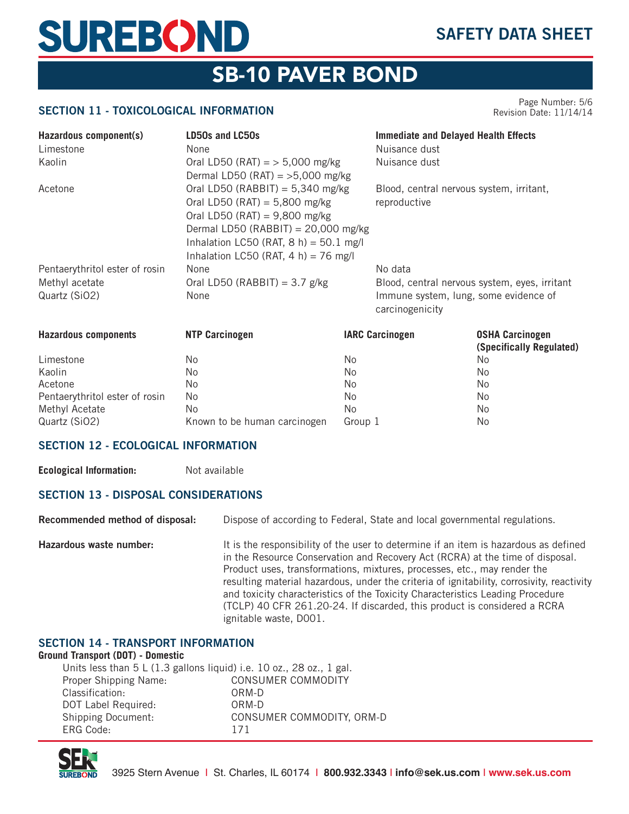

# **SB-10 PAVER BOND**

### **SECTION 11 - TOXICOLOGICAL INFORMATION**

Page Number: 5/6 Revision Date: 11/14/14

| Hazardous component(s)         | LD50s and LC50s                                                                                                                                                                                                                           |         |                        | <b>Immediate and Delayed Health Effects</b>        |
|--------------------------------|-------------------------------------------------------------------------------------------------------------------------------------------------------------------------------------------------------------------------------------------|---------|------------------------|----------------------------------------------------|
| Limestone                      | None                                                                                                                                                                                                                                      |         | Nuisance dust          |                                                    |
| Kaolin                         | Oral LD50 (RAT) = $>$ 5,000 mg/kg<br>Dermal LD50 (RAT) $=$ >5,000 mg/kg                                                                                                                                                                   |         | Nuisance dust          |                                                    |
| Acetone                        | Oral LD50 (RABBIT) = $5,340$ mg/kg<br>Oral LD50 (RAT) = $5,800$ mg/kg<br>Oral LD50 (RAT) = $9,800$ mg/kg<br>Dermal LD50 (RABBIT) = $20,000$ mg/kg<br>Inhalation LC50 (RAT, $8 h$ ) = 50.1 mg/l<br>Inhalation LC50 (RAT, $4 h$ ) = 76 mg/l |         | reproductive           | Blood, central nervous system, irritant,           |
| Pentaerythritol ester of rosin | None                                                                                                                                                                                                                                      |         | No data                |                                                    |
| Methyl acetate                 | Oral LD50 (RABBIT) = $3.7$ g/kg                                                                                                                                                                                                           |         |                        | Blood, central nervous system, eyes, irritant      |
| Quartz (SiO2)                  | None                                                                                                                                                                                                                                      |         | carcinogenicity        | Immune system, lung, some evidence of              |
| <b>Hazardous components</b>    | <b>NTP Carcinogen</b>                                                                                                                                                                                                                     |         | <b>IARC Carcinogen</b> | <b>OSHA Carcinogen</b><br>(Specifically Regulated) |
| Limestone                      | No.                                                                                                                                                                                                                                       | No      |                        | No.                                                |
| Kaolin                         | No.                                                                                                                                                                                                                                       | No.     |                        | No.                                                |
| Acetone                        | No.                                                                                                                                                                                                                                       | No.     |                        | No.                                                |
| Pentaerythritol ester of rosin | No.                                                                                                                                                                                                                                       | No.     |                        | No.                                                |
| Methyl Acetate                 | No.                                                                                                                                                                                                                                       | No.     |                        | No.                                                |
| Quartz (SiO2)                  | Known to be human carcinogen                                                                                                                                                                                                              | Group 1 |                        | No.                                                |

### **SECTION 12 - ECOLOGICAL INFORMATION**

**Ecological Information:** Not available

### **SECTION 13 - DISPOSAL CONSIDERATIONS**

**Recommended method of disposal:** Dispose of according to Federal, State and local governmental regulations.

**Hazardous** waste number: It is the responsibility of the user to determine if an item is hazardous as defined in the Resource Conservation and Recovery Act (RCRA) at the time of disposal. Product uses, transformations, mixtures, processes, etc., may render the resulting material hazardous, under the criteria of ignitability, corrosivity, reactivity and toxicity characteristics of the Toxicity Characteristics Leading Procedure (TCLP) 40 CFR 261.20-24. If discarded, this product is considered a RCRA ignitable waste, D001.

### **SECTION 14 - TRANSPORT INFORMATION**

#### **Ground Transport (DOT) - Domestic**

| Units less than $5 L (1.3$ gallons liquid) i.e. 10 oz., 28 oz., 1 gal. |                           |
|------------------------------------------------------------------------|---------------------------|
| Proper Shipping Name:                                                  | <b>CONSUMER COMMODITY</b> |
| Classification:                                                        | ORM-D                     |
| DOT Label Required:                                                    | ORM-D                     |
| <b>Shipping Document:</b>                                              | CONSUMER COMMODITY, ORM-D |
| ERG Code:                                                              | 171                       |